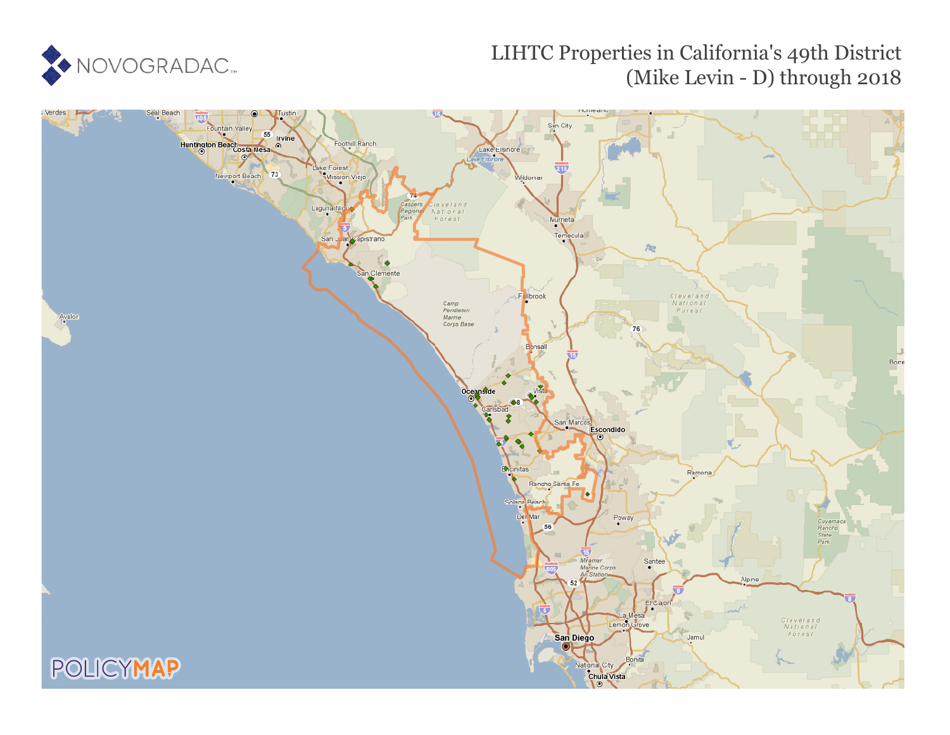

# LIHTC Properties in California's 49th District (Mike Levin - D) through 2018

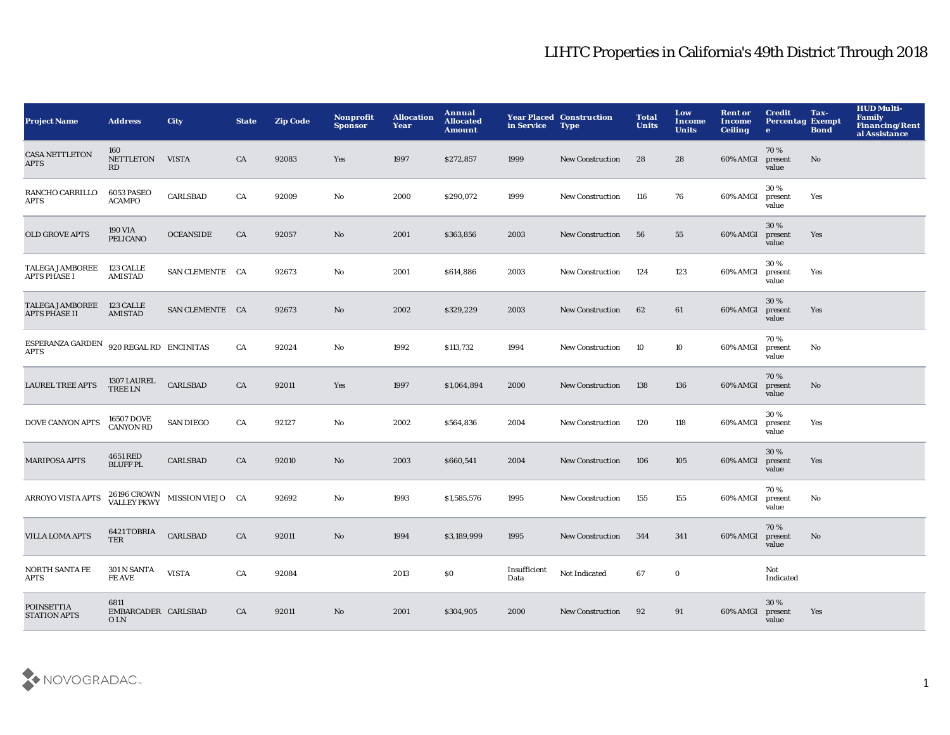| <b>Project Name</b>                      | <b>Address</b>                      | <b>City</b>      | <b>State</b> | <b>Zip Code</b> | Nonprofit<br><b>Sponsor</b> | <b>Allocation</b><br>Year | Annual<br><b>Allocated</b><br><b>Amount</b> | in Service           | <b>Year Placed Construction</b><br><b>Type</b> | <b>Total</b><br><b>Units</b> | Low<br><b>Income</b><br><b>Units</b> | <b>Rent or</b><br>Income<br><b>Ceiling</b> | <b>Credit</b><br><b>Percentag Exempt</b><br>$\bullet$ | Tax-<br><b>Bond</b> | <b>HUD Multi-</b><br><b>Family</b><br><b>Financing/Rent</b><br>al Assistance |
|------------------------------------------|-------------------------------------|------------------|--------------|-----------------|-----------------------------|---------------------------|---------------------------------------------|----------------------|------------------------------------------------|------------------------------|--------------------------------------|--------------------------------------------|-------------------------------------------------------|---------------------|------------------------------------------------------------------------------|
| <b>CASA NETTLETON</b><br><b>APTS</b>     | 160<br><b>NETTLETON</b><br>RD       | <b>VISTA</b>     | CA           | 92083           | Yes                         | 1997                      | \$272,857                                   | 1999                 | <b>New Construction</b>                        | 28                           | 28                                   | 60% AMGI                                   | 70%<br>present<br>value                               | No                  |                                                                              |
| RANCHO CARRILLO<br>APTS                  | 6053 PASEO<br><b>ACAMPO</b>         | <b>CARLSBAD</b>  | CA           | 92009           | No                          | 2000                      | \$290,072                                   | 1999                 | <b>New Construction</b>                        | 116                          | 76                                   | 60% AMGI                                   | 30%<br>present<br>value                               | Yes                 |                                                                              |
| OLD GROVE APTS                           | <b>190 VIA</b><br><b>PELICANO</b>   | <b>OCEANSIDE</b> | CA           | 92057           | No                          | 2001                      | \$363,856                                   | 2003                 | <b>New Construction</b>                        | 56                           | 55                                   | 60% AMGI                                   | 30 %<br>present<br>value                              | Yes                 |                                                                              |
| <b>TALEGA JAMBOREE</b><br>APTS PHASE I   | 123 CALLE<br><b>AMISTAD</b>         | SAN CLEMENTE CA  |              | 92673           | No                          | 2001                      | \$614,886                                   | 2003                 | <b>New Construction</b>                        | 124                          | 123                                  | 60% AMGI                                   | 30%<br>present<br>value                               | Yes                 |                                                                              |
| <b>TALEGA JAMBOREE</b><br>APTS PHASE II  | 123 CALLE<br><b>AMISTAD</b>         | SAN CLEMENTE CA  |              | 92673           | No                          | 2002                      | \$329,229                                   | 2003                 | <b>New Construction</b>                        | 62                           | 61                                   | 60% AMGI                                   | 30%<br>present<br>value                               | Yes                 |                                                                              |
| ESPERANZA GARDEN<br><b>APTS</b>          | 920 REGAL RD ENCINITAS              |                  | CA           | 92024           | No                          | 1992                      | \$113,732                                   | 1994                 | <b>New Construction</b>                        | 10                           | 10                                   | 60% AMGI                                   | 70 %<br>present<br>value                              | No                  |                                                                              |
| <b>LAUREL TREE APTS</b>                  | 1307 LAUREL<br><b>TREE LN</b>       | <b>CARLSBAD</b>  | CA           | 92011           | Yes                         | 1997                      | \$1,064,894                                 | 2000                 | New Construction                               | 138                          | 136                                  | 60% AMGI                                   | 70%<br>present<br>value                               | $\mathbf{No}$       |                                                                              |
| DOVE CANYON APTS                         | 16507 DOVE<br><b>CANYON RD</b>      | <b>SAN DIEGO</b> | CA           | 92127           | No                          | 2002                      | \$564,836                                   | 2004                 | <b>New Construction</b>                        | 120                          | 118                                  | 60% AMGI                                   | 30%<br>present<br>value                               | Yes                 |                                                                              |
| <b>MARIPOSA APTS</b>                     | 4651 RED<br><b>BLUFF PL</b>         | <b>CARLSBAD</b>  | CA           | 92010           | No                          | 2003                      | \$660,541                                   | 2004                 | <b>New Construction</b>                        | 106                          | 105                                  | 60% AMGI                                   | 30 %<br>present<br>value                              | Yes                 |                                                                              |
| ARROYO VISTA APTS                        | 26196 CROWN<br>VALLEY PKWY          | MISSION VIEJO CA |              | 92692           | No                          | 1993                      | \$1,585,576                                 | 1995                 | <b>New Construction</b>                        | 155                          | 155                                  | 60% AMGI                                   | 70%<br>present<br>value                               | No                  |                                                                              |
| <b>VILLA LOMA APTS</b>                   | 6421 TOBRIA<br>TER                  | <b>CARLSBAD</b>  | CA           | 92011           | No                          | 1994                      | \$3,189,999                                 | 1995                 | <b>New Construction</b>                        | 344                          | 341                                  | 60% AMGI                                   | 70%<br>present<br>value                               | No                  |                                                                              |
| NORTH SANTA FE<br><b>APTS</b>            | 301 N SANTA<br><b>FE AVE</b>        | <b>VISTA</b>     | CA           | 92084           |                             | 2013                      | \$0                                         | Insufficient<br>Data | Not Indicated                                  | 67                           | $\mathbf 0$                          |                                            | Not<br>Indicated                                      |                     |                                                                              |
| <b>POINSETTIA</b><br><b>STATION APTS</b> | 6811<br>EMBARCADER CARLSBAD<br>O LN |                  | CA           | 92011           | No                          | 2001                      | \$304,905                                   | 2000                 | <b>New Construction</b>                        | 92                           | 91                                   | 60% AMGI                                   | 30 %<br>present<br>value                              | Yes                 |                                                                              |

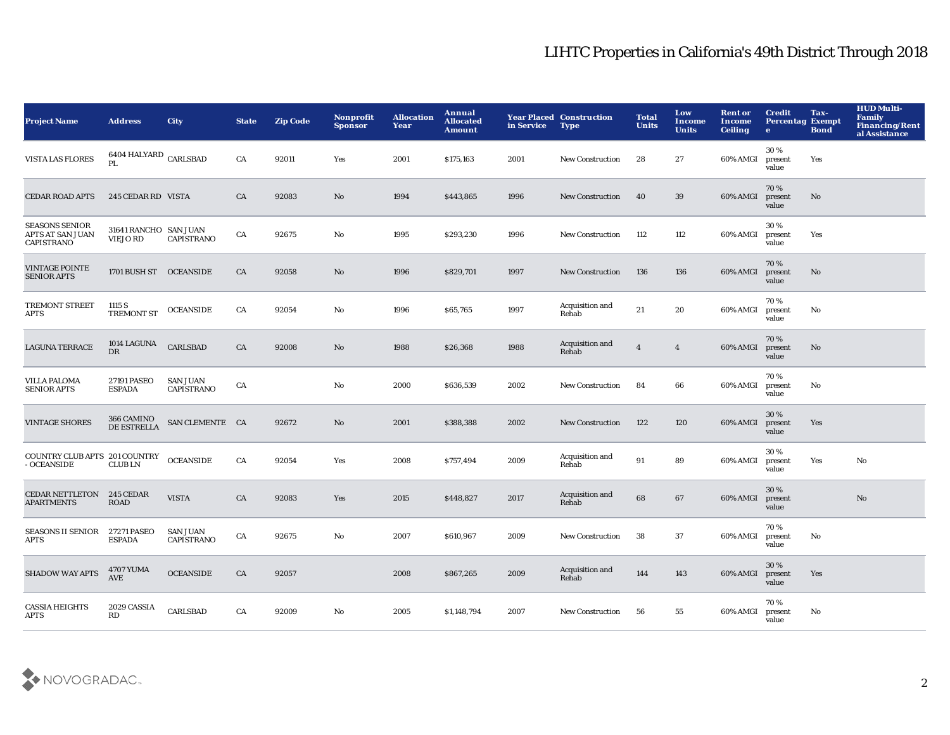| <b>Project Name</b>                                            | <b>Address</b>                           | <b>City</b>                          | <b>State</b> | <b>Zip Code</b> | Nonprofit<br><b>Sponsor</b> | <b>Allocation</b><br>Year | Annual<br><b>Allocated</b><br><b>Amount</b> | in Service | <b>Year Placed Construction</b><br><b>Type</b> | <b>Total</b><br><b>Units</b> | Low<br>Income<br><b>Units</b> | <b>Rent or</b><br>Income<br><b>Ceiling</b> | <b>Credit</b><br><b>Percentag Exempt</b><br>$\bullet$ | Tax-<br><b>Bond</b> | <b>HUD Multi-</b><br>Family<br>Financing/Rent<br>al Assistance |
|----------------------------------------------------------------|------------------------------------------|--------------------------------------|--------------|-----------------|-----------------------------|---------------------------|---------------------------------------------|------------|------------------------------------------------|------------------------------|-------------------------------|--------------------------------------------|-------------------------------------------------------|---------------------|----------------------------------------------------------------|
| VISTA LAS FLORES                                               | 6404 HALYARD $_{\rm CARLSBAD}$<br>PI.    |                                      | CA           | 92011           | Yes                         | 2001                      | \$175,163                                   | 2001       | <b>New Construction</b>                        | 28                           | 27                            | 60% AMGI                                   | 30%<br>present<br>value                               | Yes                 |                                                                |
| <b>CEDAR ROAD APTS</b>                                         | 245 CEDAR RD VISTA                       |                                      | CA           | 92083           | $\mathbf{N}\mathbf{o}$      | 1994                      | \$443,865                                   | 1996       | New Construction                               | 40                           | 39                            | 60% AMGI                                   | 70%<br>present<br>value                               | No                  |                                                                |
| <b>SEASONS SENIOR</b><br>APTS AT SAN JUAN<br><b>CAPISTRANO</b> | 31641 RANCHO SAN JUAN<br><b>VIEJO RD</b> | <b>CAPISTRANO</b>                    | ${\rm CA}$   | 92675           | $\rm No$                    | 1995                      | \$293,230                                   | 1996       | <b>New Construction</b>                        | 112                          | 112                           | 60% AMGI                                   | 30%<br>present<br>value                               | Yes                 |                                                                |
| <b>VINTAGE POINTE</b><br><b>SENIOR APTS</b>                    | 1701 BUSH ST OCEANSIDE                   |                                      | CA           | 92058           | $\mathbf{N}\mathbf{o}$      | 1996                      | \$829,701                                   | 1997       | New Construction                               | 136                          | 136                           | 60% AMGI                                   | 70%<br>present<br>value                               | No                  |                                                                |
| TREMONT STREET<br>APTS                                         | 1115 S<br>TREMONT ST                     | <b>OCEANSIDE</b>                     | CA           | 92054           | No                          | 1996                      | \$65,765                                    | 1997       | Acquisition and<br>Rehab                       | 21                           | 20                            | 60% AMGI                                   | 70%<br>present<br>value                               | No                  |                                                                |
| <b>LAGUNA TERRACE</b>                                          | 1014 LAGUNA<br><b>DR</b>                 | CARLSBAD                             | CA           | 92008           | No                          | 1988                      | \$26,368                                    | 1988       | Acquisition and<br>Rehab                       | $\overline{4}$               | $\overline{4}$                | 60% AMGI                                   | 70%<br>present<br>value                               | No                  |                                                                |
| <b>VILLA PALOMA</b><br><b>SENIOR APTS</b>                      | 27191 PASEO<br><b>ESPADA</b>             | <b>SAN JUAN</b><br><b>CAPISTRANO</b> | CA           |                 | $\rm No$                    | 2000                      | \$636,539                                   | 2002       | <b>New Construction</b>                        | 84                           | 66                            | 60% AMGI                                   | 70%<br>present<br>value                               | No                  |                                                                |
| <b>VINTAGE SHORES</b>                                          | 366 CAMINO<br>DE ESTRELLA                | SAN CLEMENTE CA                      |              | 92672           | No                          | 2001                      | \$388,388                                   | 2002       | <b>New Construction</b>                        | 122                          | 120                           | 60% AMGI                                   | 30%<br>present<br>value                               | Yes                 |                                                                |
| COUNTRY CLUB APTS 201 COUNTRY<br>- OCEANSIDE                   | <b>CLUBLN</b>                            | <b>OCEANSIDE</b>                     | CA           | 92054           | Yes                         | 2008                      | \$757,494                                   | 2009       | Acquisition and<br>Rehab                       | 91                           | 89                            | 60% AMGI                                   | 30%<br>present<br>value                               | Yes                 | No                                                             |
| CEDAR NETTLETON 245 CEDAR<br><b>APARTMENTS</b>                 | <b>ROAD</b>                              | <b>VISTA</b>                         | CA           | 92083           | Yes                         | 2015                      | \$448,827                                   | 2017       | Acquisition and<br>Rehab                       | 68                           | 67                            | 60% AMGI                                   | 30%<br>present<br>value                               |                     | No                                                             |
| <b>SEASONS II SENIOR</b><br><b>APTS</b>                        | <b>27271 PASEO</b><br><b>ESPADA</b>      | <b>SAN JUAN</b><br><b>CAPISTRANO</b> | CA           | 92675           | No                          | 2007                      | \$610,967                                   | 2009       | <b>New Construction</b>                        | 38                           | 37                            | 60% AMGI                                   | 70%<br>present<br>value                               | No                  |                                                                |
| <b>SHADOW WAY APTS</b>                                         | 4707 YUMA<br><b>AVE</b>                  | <b>OCEANSIDE</b>                     | CA           | 92057           |                             | 2008                      | \$867,265                                   | 2009       | Acquisition and<br>Rehab                       | 144                          | 143                           | 60% AMGI                                   | 30%<br>present<br>value                               | Yes                 |                                                                |
| <b>CASSIA HEIGHTS</b><br><b>APTS</b>                           | 2029 CASSIA<br>RD                        | <b>CARLSBAD</b>                      | CA           | 92009           | No                          | 2005                      | \$1,148,794                                 | 2007       | <b>New Construction</b>                        | 56                           | 55                            | 60% AMGI                                   | 70%<br>present<br>value                               | No                  |                                                                |

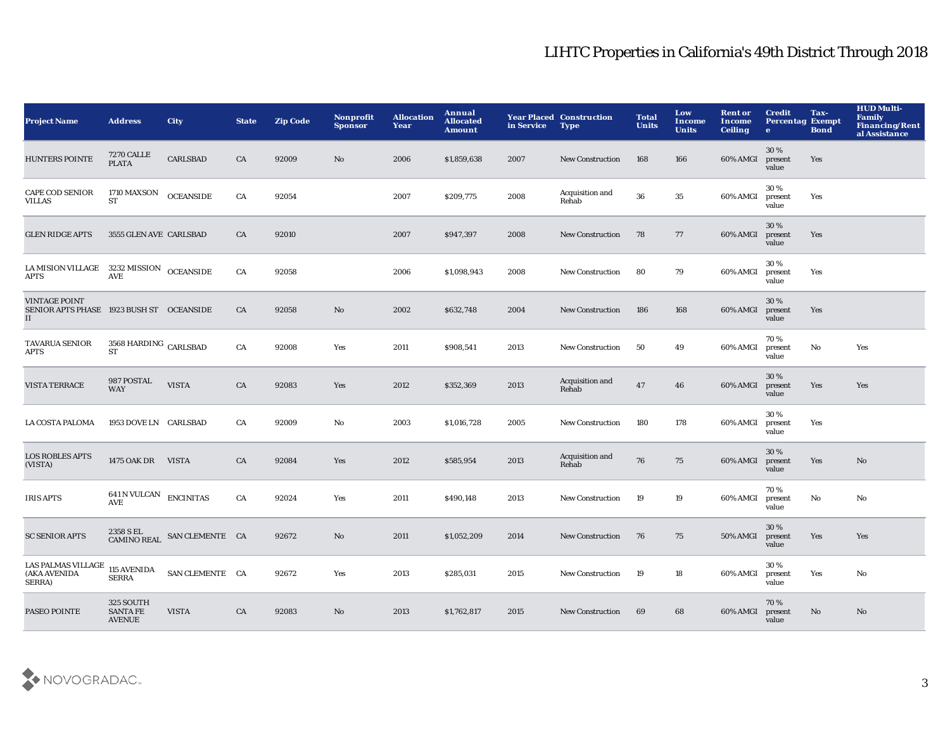| <b>Project Name</b>                                                    | <b>Address</b>                                 | <b>City</b>      | <b>State</b> | <b>Zip Code</b> | Nonprofit<br><b>Sponsor</b> | <b>Allocation</b><br>Year | <b>Annual</b><br><b>Allocated</b><br><b>Amount</b> | in Service | <b>Year Placed Construction</b><br><b>Type</b> | <b>Total</b><br><b>Units</b> | Low<br><b>Income</b><br><b>Units</b> | <b>Rent or</b><br>Income<br><b>Ceiling</b> | <b>Credit</b><br><b>Percentag Exempt</b><br>$\bullet$ | Tax-<br><b>Bond</b> | <b>HUD Multi-</b><br><b>Family</b><br><b>Financing/Rent</b><br>al Assistance |
|------------------------------------------------------------------------|------------------------------------------------|------------------|--------------|-----------------|-----------------------------|---------------------------|----------------------------------------------------|------------|------------------------------------------------|------------------------------|--------------------------------------|--------------------------------------------|-------------------------------------------------------|---------------------|------------------------------------------------------------------------------|
| <b>HUNTERS POINTE</b>                                                  | <b>7270 CALLE</b><br><b>PLATA</b>              | <b>CARLSBAD</b>  | CA           | 92009           | No                          | 2006                      | \$1,859,638                                        | 2007       | <b>New Construction</b>                        | 168                          | 166                                  | 60% AMGI                                   | 30%<br>present<br>value                               | Yes                 |                                                                              |
| <b>CAPE COD SENIOR</b><br><b>VILLAS</b>                                | 1710 MAXSON<br>ST                              | <b>OCEANSIDE</b> | CA           | 92054           |                             | 2007                      | \$209,775                                          | 2008       | Acquisition and<br>Rehab                       | 36                           | $35\,$                               | 60% AMGI                                   | 30%<br>present<br>value                               | Yes                 |                                                                              |
| <b>GLEN RIDGE APTS</b>                                                 | 3555 GLEN AVE CARLSBAD                         |                  | CA           | 92010           |                             | 2007                      | \$947,397                                          | 2008       | <b>New Construction</b>                        | 78                           | 77                                   | 60% AMGI                                   | 30 %<br>present<br>value                              | Yes                 |                                                                              |
| LA MISION VILLAGE 3232 MISSION OCEANSIDE<br>APTS                       | <b>AVE</b>                                     |                  | CA           | 92058           |                             | 2006                      | \$1,098,943                                        | 2008       | New Construction                               | 80                           | 79                                   | 60% AMGI                                   | 30%<br>present<br>value                               | Yes                 |                                                                              |
| <b>VINTAGE POINT</b><br>SENIOR APTS PHASE 1923 BUSH ST OCEANSIDE<br>II |                                                |                  | CA           | 92058           | No                          | 2002                      | \$632,748                                          | 2004       | <b>New Construction</b>                        | 186                          | 168                                  | 60% AMGI                                   | 30 %<br>present<br>value                              | Yes                 |                                                                              |
| <b>TAVARUA SENIOR</b><br>APTS                                          | $3568\ \mathrm{HARDING}$ CARLSBAD<br><b>ST</b> |                  | CA           | 92008           | Yes                         | 2011                      | \$908,541                                          | 2013       | New Construction                               | 50                           | 49                                   | 60% AMGI                                   | 70 %<br>present<br>value                              | $\mathbf {No}$      | Yes                                                                          |
| VISTA TERRACE                                                          | 987 POSTAL<br><b>WAY</b>                       | <b>VISTA</b>     | ${\rm CA}$   | 92083           | Yes                         | 2012                      | \$352,369                                          | 2013       | Acquisition and<br>Rehab                       | 47                           | 46                                   | 60% AMGI                                   | 30%<br>present<br>value                               | Yes                 | Yes                                                                          |
| LA COSTA PALOMA                                                        | 1953 DOVE LN CARLSBAD                          |                  | CA           | 92009           | No                          | 2003                      | \$1,016,728                                        | 2005       | <b>New Construction</b>                        | 180                          | 178                                  | 60% AMGI                                   | 30%<br>present<br>value                               | Yes                 |                                                                              |
| <b>LOS ROBLES APTS</b><br>(VISTA)                                      | 1475 OAK DR VISTA                              |                  | CA           | 92084           | Yes                         | 2012                      | \$585,954                                          | 2013       | Acquisition and<br>Rehab                       | 76                           | 75                                   | 60% AMGI                                   | 30 %<br>present<br>value                              | Yes                 | No                                                                           |
| <b>IRIS APTS</b>                                                       | <b>641 N VULCAN ENCINITAS</b><br><b>AVE</b>    |                  | CA           | 92024           | Yes                         | 2011                      | \$490,148                                          | 2013       | <b>New Construction</b>                        | 19                           | 19                                   | 60% AMGI                                   | 70%<br>present<br>value                               | $\mathbf {No}$      | No                                                                           |
| <b>SC SENIOR APTS</b>                                                  | 2358 S EL<br><b>CAMINO REAL</b>                | SAN CLEMENTE CA  |              | 92672           | No                          | 2011                      | \$1,052,209                                        | 2014       | <b>New Construction</b>                        | 76                           | 75                                   | <b>50% AMGI</b>                            | 30 %<br>present<br>value                              | Yes                 | Yes                                                                          |
| LAS PALMAS VILLAGE<br>(AKA AVENIDA<br>SERRA)                           | 115 AVENIDA<br><b>SERRA</b>                    | SAN CLEMENTE CA  |              | 92672           | Yes                         | 2013                      | \$285,031                                          | 2015       | <b>New Construction</b>                        | 19                           | 18                                   | 60% AMGI                                   | 30%<br>present<br>value                               | Yes                 | No                                                                           |
| PASEO POINTE                                                           | 325 SOUTH<br><b>SANTA FE</b><br><b>AVENUE</b>  | <b>VISTA</b>     | CA           | 92083           | No                          | 2013                      | \$1,762,817                                        | 2015       | <b>New Construction</b>                        | 69                           | 68                                   | 60% AMGI                                   | 70%<br>present<br>value                               | No                  | No                                                                           |